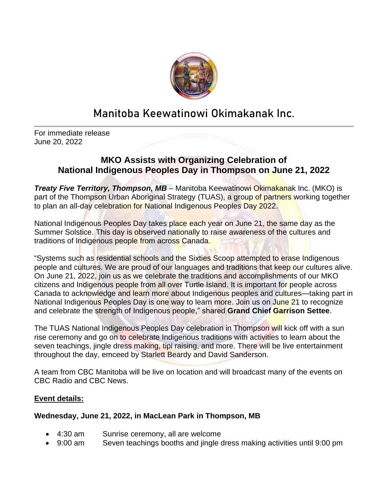

## **Manitoba Keewatinowi Okimakanak Inc.**

For immediate release June 20, 2022

## **MKO Assists with Organizing Celebration of National Indigenous Peoples Day in Thompson on June 21, 2022**

*Treaty Five Territory, Thompson, MB –* Manitoba Keewatinowi Okimakanak Inc. (MKO) is part of the Thompson Urban Aboriginal Strategy (TUAS), a group of partners working together to plan an all-day celebration for National Indigenous Peoples Day 2022.

National Indigenous Peoples Day takes place each year on June 21, the same day as the Summer Solstice. This day is observed nationally to raise awareness of the cultures and traditions of Indigenous people from across Canada.

"Systems such as residential schools and the Sixties Scoop attempted to erase Indigenous people and cultures. We are proud of our languages and traditions that keep our cultures alive. On June 21, 2022, join us as we celebrate the traditions and accomplishments of our MKO citizens and Indigenous people from all over Turtle Island. It is important for people across Canada to acknowledge and learn more about Indigenous peoples and cultures—taking part in National Indigenous Peoples Day is one way to learn more. Join us on June 21 to recognize and celebrate the strength of Indigenous people," shared **Grand Chief Garrison Settee**.

The TUAS National Indigenous Peoples Day celebration in Thompson will kick off with a sun rise ceremony and go on to celebrate Indigenous traditions with activities to learn about the seven teachings, jingle dress making, tipi raising, and more. There will be live entertainment throughout the day, emceed by Starlett Beardy and David Sanderson.

A team from CBC Manitoba will be live on location and will broadcast many of the events on CBC Radio and CBC News.

## **Event details:**

## **Wednesday, June 21, 2022, in MacLean Park in Thompson, MB**

- 4:30 am Sunrise ceremony, all are welcome
- 9:00 am Seven teachings booths and jingle dress making activities until 9:00 pm